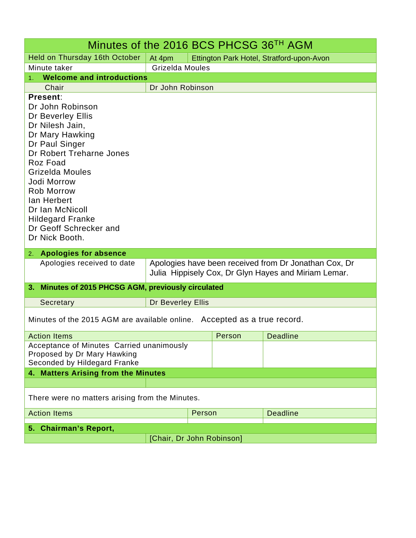| Minutes of the 2016 BCS PHCSG 36 <sup>TH</sup> AGM                                                                                                                                                                                                                                                                |                                                                                                               |        |        |                                           |
|-------------------------------------------------------------------------------------------------------------------------------------------------------------------------------------------------------------------------------------------------------------------------------------------------------------------|---------------------------------------------------------------------------------------------------------------|--------|--------|-------------------------------------------|
| Held on Thursday 16th October                                                                                                                                                                                                                                                                                     | At 4pm                                                                                                        |        |        | Ettington Park Hotel, Stratford-upon-Avon |
| Minute taker                                                                                                                                                                                                                                                                                                      | Grizelda Moules                                                                                               |        |        |                                           |
| <b>Welcome and introductions</b><br>1.                                                                                                                                                                                                                                                                            |                                                                                                               |        |        |                                           |
| Chair                                                                                                                                                                                                                                                                                                             | Dr John Robinson                                                                                              |        |        |                                           |
| Present:<br>Dr John Robinson<br>Dr Beverley Ellis<br>Dr Nilesh Jain,<br>Dr Mary Hawking<br>Dr Paul Singer<br>Dr Robert Treharne Jones<br>Roz Foad<br>Grizelda Moules<br>Jodi Morrow<br><b>Rob Morrow</b><br>lan Herbert<br>Dr Ian McNicoll<br><b>Hildegard Franke</b><br>Dr Geoff Schrecker and<br>Dr Nick Booth. |                                                                                                               |        |        |                                           |
| <b>Apologies for absence</b><br>2.                                                                                                                                                                                                                                                                                |                                                                                                               |        |        |                                           |
| Apologies received to date                                                                                                                                                                                                                                                                                        | Apologies have been received from Dr Jonathan Cox, Dr<br>Julia Hippisely Cox, Dr Glyn Hayes and Miriam Lemar. |        |        |                                           |
| Minutes of 2015 PHCSG AGM, previously circulated<br>3. .                                                                                                                                                                                                                                                          |                                                                                                               |        |        |                                           |
| Secretary                                                                                                                                                                                                                                                                                                         | Dr Beverley Ellis                                                                                             |        |        |                                           |
| Minutes of the 2015 AGM are available online. Accepted as a true record.                                                                                                                                                                                                                                          |                                                                                                               |        |        |                                           |
| <b>Action Items</b>                                                                                                                                                                                                                                                                                               |                                                                                                               |        | Person | <b>Deadline</b>                           |
| Acceptance of Minutes Carried unanimously<br>Proposed by Dr Mary Hawking<br>Seconded by Hildegard Franke<br>4. Matters Arising from the Minutes                                                                                                                                                                   |                                                                                                               |        |        |                                           |
|                                                                                                                                                                                                                                                                                                                   |                                                                                                               |        |        |                                           |
| There were no matters arising from the Minutes.                                                                                                                                                                                                                                                                   |                                                                                                               |        |        |                                           |
| <b>Action Items</b>                                                                                                                                                                                                                                                                                               |                                                                                                               | Person |        | <b>Deadline</b>                           |
| 5. Chairman's Report,                                                                                                                                                                                                                                                                                             |                                                                                                               |        |        |                                           |
|                                                                                                                                                                                                                                                                                                                   | [Chair, Dr John Robinson]                                                                                     |        |        |                                           |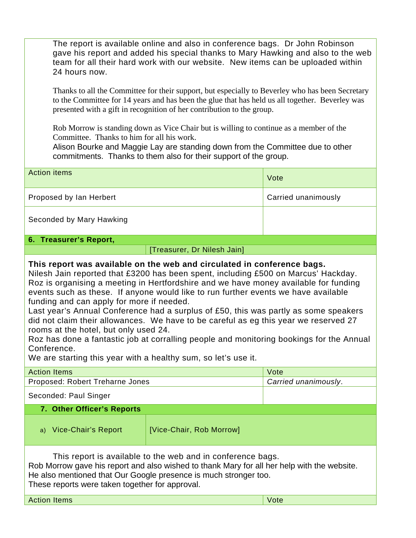The report is available online and also in conference bags. Dr John Robinson gave his report and added his special thanks to Mary Hawking and also to the web team for all their hard work with our website. New items can be uploaded within 24 hours now.

Thanks to all the Committee for their support, but especially to Beverley who has been Secretary to the Committee for 14 years and has been the glue that has held us all together. Beverley was presented with a gift in recognition of her contribution to the group.

Rob Morrow is standing down as Vice Chair but is willing to continue as a member of the Committee. Thanks to him for all his work.

Alison Bourke and Maggie Lay are standing down from the Committee due to other commitments. Thanks to them also for their support of the group.

| <b>Action items</b>      | Vote                |
|--------------------------|---------------------|
| Proposed by Ian Herbert  | Carried unanimously |
| Seconded by Mary Hawking |                     |

## **6. Treasurer's Report,**

| [Treasurer, Dr Nilesh Jain] |  |  |
|-----------------------------|--|--|
|                             |  |  |

## **This report was available on the web and circulated in conference bags.**

Nilesh Jain reported that £3200 has been spent, including £500 on Marcus' Hackday. Roz is organising a meeting in Hertfordshire and we have money available for funding events such as these. If anyone would like to run further events we have available funding and can apply for more if needed.

Last year's Annual Conference had a surplus of £50, this was partly as some speakers did not claim their allowances. We have to be careful as eg this year we reserved 27 rooms at the hotel, but only used 24.

Roz has done a fantastic job at corralling people and monitoring bookings for the Annual Conference.

We are starting this year with a healthy sum, so let's use it.

Action Items Vote

| <b>Action Items</b>                                                                                                                                                                                                                                                               |                          | Vote                 |  |
|-----------------------------------------------------------------------------------------------------------------------------------------------------------------------------------------------------------------------------------------------------------------------------------|--------------------------|----------------------|--|
| Proposed: Robert Treharne Jones                                                                                                                                                                                                                                                   |                          | Carried unanimously. |  |
| Seconded: Paul Singer                                                                                                                                                                                                                                                             |                          |                      |  |
| 7. Other Officer's Reports                                                                                                                                                                                                                                                        |                          |                      |  |
| a) Vice-Chair's Report                                                                                                                                                                                                                                                            | [Vice-Chair, Rob Morrow] |                      |  |
| This report is available to the web and in conference bags.<br>Rob Morrow gave his report and also wished to thank Mary for all her help with the website.<br>He also mentioned that Our Google presence is much stronger too.<br>These reports were taken together for approval. |                          |                      |  |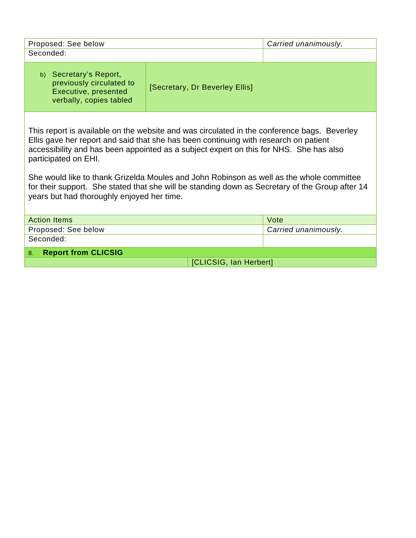| Proposed: See below<br>Seconded:                                                                                                                                                                                                                                                                                                                                                                                                                                                                                                                   |                                | Carried unanimously. |  |
|----------------------------------------------------------------------------------------------------------------------------------------------------------------------------------------------------------------------------------------------------------------------------------------------------------------------------------------------------------------------------------------------------------------------------------------------------------------------------------------------------------------------------------------------------|--------------------------------|----------------------|--|
|                                                                                                                                                                                                                                                                                                                                                                                                                                                                                                                                                    |                                |                      |  |
| b) Secretary's Report,<br>previously circulated to<br>Executive, presented<br>verbally, copies tabled                                                                                                                                                                                                                                                                                                                                                                                                                                              | [Secretary, Dr Beverley Ellis] |                      |  |
| This report is available on the website and was circulated in the conference bags. Beverley<br>Ellis gave her report and said that she has been continuing with research on patient<br>accessibility and has been appointed as a subject expert on this for NHS. She has also<br>participated on EHI.<br>She would like to thank Grizelda Moules and John Robinson as well as the whole committee<br>for their support. She stated that she will be standing down as Secretary of the Group after 14<br>years but had thoroughly enjoyed her time. |                                |                      |  |
| <b>Action Items</b>                                                                                                                                                                                                                                                                                                                                                                                                                                                                                                                                |                                | Vote                 |  |
| Proposed: See below                                                                                                                                                                                                                                                                                                                                                                                                                                                                                                                                |                                | Carried unanimously. |  |
| Seconded:                                                                                                                                                                                                                                                                                                                                                                                                                                                                                                                                          |                                |                      |  |
| <b>Report from CLICSIG</b><br>8.                                                                                                                                                                                                                                                                                                                                                                                                                                                                                                                   |                                |                      |  |
| [CLICSIG, Ian Herbert]                                                                                                                                                                                                                                                                                                                                                                                                                                                                                                                             |                                |                      |  |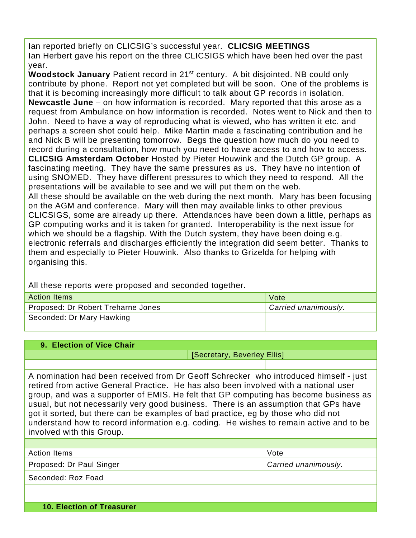Ian reported briefly on CLICSIG's successful year. **CLICSIG MEETINGS** Ian Herbert gave his report on the three CLICSIGS which have been hed over the past year.

**Woodstock January** Patient record in 21st century. A bit disjointed. NB could only contribute by phone. Report not yet completed but will be soon. One of the problems is that it is becoming increasingly more difficult to talk about GP records in isolation. **Newcastle June** – on how information is recorded. Mary reported that this arose as a request from Ambulance on how information is recorded. Notes went to Nick and then to John. Need to have a way of reproducing what is viewed, who has written it etc. and perhaps a screen shot could help. Mike Martin made a fascinating contribution and he and Nick B will be presenting tomorrow. Begs the question how much do you need to record during a consultation, how much you need to have access to and how to access. **CLICSIG Amsterdam October** Hosted by Pieter Houwink and the Dutch GP group. A fascinating meeting. They have the same pressures as us. They have no intention of using SNOMED. They have different pressures to which they need to respond. All the presentations will be available to see and we will put them on the web.

All these should be available on the web during the next month. Mary has been focusing on the AGM and conference. Mary will then may available links to other previous CLICSIGS, some are already up there. Attendances have been down a little, perhaps as GP computing works and it is taken for granted. Interoperability is the next issue for which we should be a flagship. With the Dutch system, they have been doing e.g. electronic referrals and discharges efficiently the integration did seem better. Thanks to them and especially to Pieter Houwink. Also thanks to Grizelda for helping with organising this.

All these reports were proposed and seconded together.

| <b>Action Items</b>                | Vote                 |
|------------------------------------|----------------------|
| Proposed: Dr Robert Treharne Jones | Carried unanimously. |
| Seconded: Dr Mary Hawking          |                      |

| 9. Election of Vice Chair                                                                                                                                                    |                             |  |
|------------------------------------------------------------------------------------------------------------------------------------------------------------------------------|-----------------------------|--|
|                                                                                                                                                                              | [Secretary, Beverley Ellis] |  |
|                                                                                                                                                                              |                             |  |
| A nomination had been received from Dr Geoff Schrecker who introduced himself - just<br>retired from active General Practice. He has also been involved with a national user |                             |  |

group, and was a supporter of EMIS. He felt that GP computing has become business as usual, but not necessarily very good business. There is an assumption that GPs have got it sorted, but there can be examples of bad practice, eg by those who did not understand how to record information e.g. coding. He wishes to remain active and to be involved with this Group.

| <b>Action Items</b>              | Vote                 |
|----------------------------------|----------------------|
| Proposed: Dr Paul Singer         | Carried unanimously. |
| Seconded: Roz Foad               |                      |
|                                  |                      |
| <b>10. Election of Treasurer</b> |                      |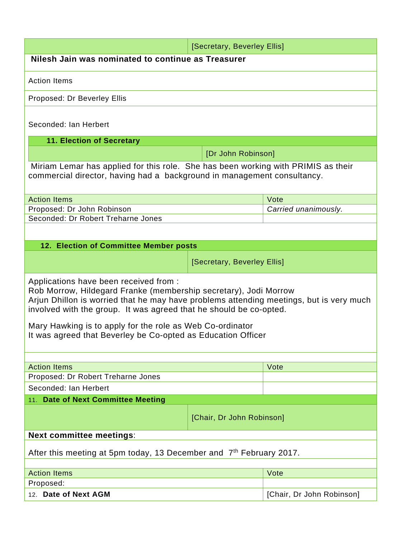| [Secretary, Beverley Ellis]                                                                                                                                                                                                                                                                                                                                                                             |                             |                           |  |
|---------------------------------------------------------------------------------------------------------------------------------------------------------------------------------------------------------------------------------------------------------------------------------------------------------------------------------------------------------------------------------------------------------|-----------------------------|---------------------------|--|
| Nilesh Jain was nominated to continue as Treasurer                                                                                                                                                                                                                                                                                                                                                      |                             |                           |  |
| <b>Action Items</b>                                                                                                                                                                                                                                                                                                                                                                                     |                             |                           |  |
| Proposed: Dr Beverley Ellis                                                                                                                                                                                                                                                                                                                                                                             |                             |                           |  |
| Seconded: Ian Herbert                                                                                                                                                                                                                                                                                                                                                                                   |                             |                           |  |
| <b>11. Election of Secretary</b>                                                                                                                                                                                                                                                                                                                                                                        |                             |                           |  |
|                                                                                                                                                                                                                                                                                                                                                                                                         | [Dr John Robinson]          |                           |  |
| Miriam Lemar has applied for this role. She has been working with PRIMIS as their<br>commercial director, having had a background in management consultancy.                                                                                                                                                                                                                                            |                             |                           |  |
| <b>Action Items</b>                                                                                                                                                                                                                                                                                                                                                                                     |                             | Vote                      |  |
| Proposed: Dr John Robinson                                                                                                                                                                                                                                                                                                                                                                              |                             | Carried unanimously.      |  |
| Seconded: Dr Robert Treharne Jones                                                                                                                                                                                                                                                                                                                                                                      |                             |                           |  |
|                                                                                                                                                                                                                                                                                                                                                                                                         |                             |                           |  |
| 12. Election of Committee Member posts                                                                                                                                                                                                                                                                                                                                                                  |                             |                           |  |
|                                                                                                                                                                                                                                                                                                                                                                                                         | [Secretary, Beverley Ellis] |                           |  |
| Applications have been received from:<br>Rob Morrow, Hildegard Franke (membership secretary), Jodi Morrow<br>Arjun Dhillon is worried that he may have problems attending meetings, but is very much<br>involved with the group. It was agreed that he should be co-opted.<br>Mary Hawking is to apply for the role as Web Co-ordinator<br>It was agreed that Beverley be Co-opted as Education Officer |                             |                           |  |
|                                                                                                                                                                                                                                                                                                                                                                                                         |                             |                           |  |
| <b>Action Items</b>                                                                                                                                                                                                                                                                                                                                                                                     |                             | Vote                      |  |
| Proposed: Dr Robert Treharne Jones                                                                                                                                                                                                                                                                                                                                                                      |                             |                           |  |
| Seconded: Ian Herbert                                                                                                                                                                                                                                                                                                                                                                                   |                             |                           |  |
| <b>Date of Next Committee Meeting</b><br>11.                                                                                                                                                                                                                                                                                                                                                            |                             |                           |  |
| [Chair, Dr John Robinson]                                                                                                                                                                                                                                                                                                                                                                               |                             |                           |  |
| <b>Next committee meetings:</b>                                                                                                                                                                                                                                                                                                                                                                         |                             |                           |  |
| After this meeting at 5pm today, 13 December and 7 <sup>th</sup> February 2017.                                                                                                                                                                                                                                                                                                                         |                             |                           |  |
|                                                                                                                                                                                                                                                                                                                                                                                                         |                             | Vote                      |  |
| <b>Action Items</b><br>Proposed:                                                                                                                                                                                                                                                                                                                                                                        |                             |                           |  |
| 12. Date of Next AGM                                                                                                                                                                                                                                                                                                                                                                                    |                             | [Chair, Dr John Robinson] |  |
|                                                                                                                                                                                                                                                                                                                                                                                                         |                             |                           |  |